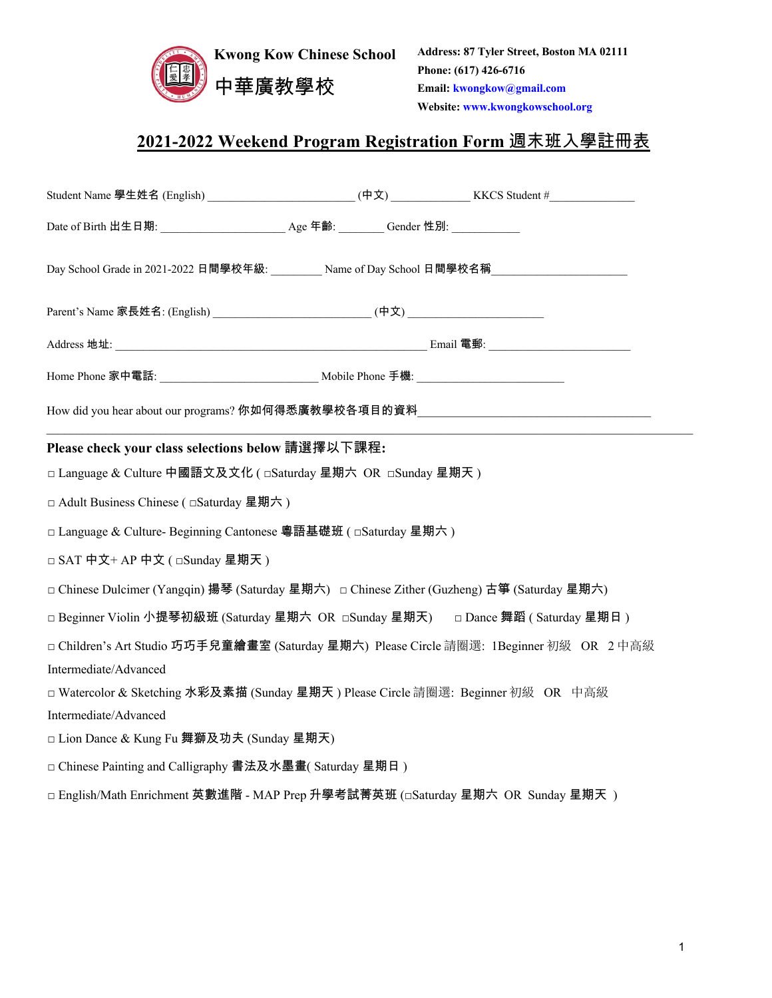

**Address: 87 Tyler Street, Boston MA 02111 Phone: (617) 426-6716 Email: kwongkow@gmail.com Website: www.kwongkowschool.org**

# 2021-2022 Weekend Program Registration Form 週末班入學註冊表

| Student Name 學生姓名 (English) __________________________(中文) _______________KKCS Student #____________ |  |  |  |  |  |
|------------------------------------------------------------------------------------------------------|--|--|--|--|--|
|                                                                                                      |  |  |  |  |  |
| Day School Grade in 2021-2022 日間學校年級: Name of Day School 日間學校名稱                                      |  |  |  |  |  |
| Parent's Name 家長姓名: (English) ______________________________(中文) ___________________________________ |  |  |  |  |  |
|                                                                                                      |  |  |  |  |  |
| Home Phone 家中電話: __________________________________ Mobile Phone 手機: ______________________________  |  |  |  |  |  |
| How did you hear about our programs? 你如何得悉廣教學校各項目的資料<br>————————————————————                         |  |  |  |  |  |
| Please check your class selections below 請選擇以下課程:                                                    |  |  |  |  |  |
| □ Language & Culture 中國語文及文化 ( □Saturday 星期六 OR □Sunday 星期天 )                                        |  |  |  |  |  |
| □ Adult Business Chinese ( □ Saturday 星期六 )                                                          |  |  |  |  |  |
| □ Language & Culture- Beginning Cantonese 粵語基礎班 ( □ Saturday 星期六 )                                   |  |  |  |  |  |
| □ SAT 中文+ AP 中文 ( □Sunday 星期天 )                                                                      |  |  |  |  |  |
| □ Chinese Dulcimer (Yangqin) 揚琴 (Saturday 星期六) □ Chinese Zither (Guzheng) 古箏 (Saturday 星期六)          |  |  |  |  |  |
| □ Beginner Violin 小提琴初級班 (Saturday 星期六 OR □Sunday 星期天) □ Dance 舞蹈 (Saturday 星期日)                     |  |  |  |  |  |
| □ Children's Art Studio 巧巧手兒童繪畫室 (Saturday 星期六) Please Circle 請圈選: 1Beginner 初級 OR 2中高級              |  |  |  |  |  |
| Intermediate/Advanced                                                                                |  |  |  |  |  |
| □ Watercolor & Sketching 水彩及素描 (Sunday 星期天 ) Please Circle 請圈選: Beginner 初級 OR 中高級                   |  |  |  |  |  |
| Intermediate/Advanced                                                                                |  |  |  |  |  |
| □ Lion Dance & Kung Fu 舞獅及功夫 (Sunday 星期天)                                                            |  |  |  |  |  |
| □ Chinese Painting and Calligraphy 書法及水墨畫(Saturday 星期日)                                              |  |  |  |  |  |
| □ English/Math Enrichment 英數進階 - MAP Prep 升學考試菁英班 (□Saturday 星期六 OR Sunday 星期天 )                     |  |  |  |  |  |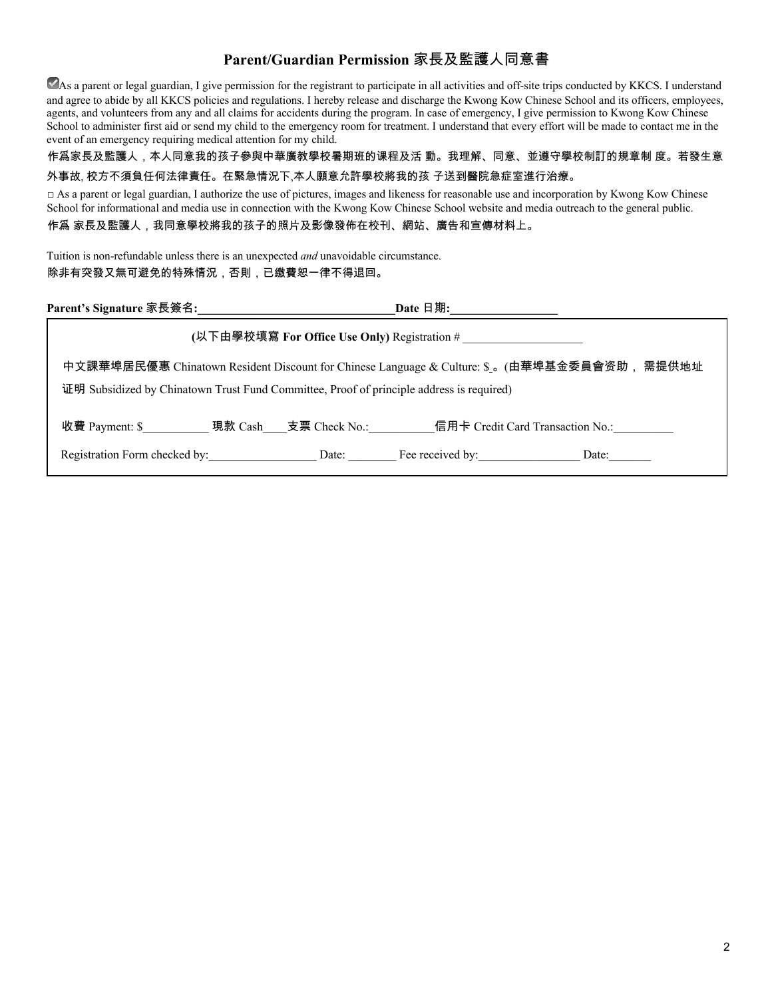### Parent/Guardian Permission 家長及監護人同意書

As a parent or legal guardian, I give permission for the registrant to participate in all activities and off-site trips conducted by KKCS. I understand and agree to abide by all KKCS policies and regulations. I hereby release and discharge the Kwong Kow Chinese School and its officers, employees, agents, and volunteers from any and all claims for accidents during the program. In case of emergency, I give permission to Kwong Kow Chinese School to administer first aid or send my child to the emergency room for treatment. I understand that every effort will be made to contact me in the event of an emergency requiring medical attention for my child.

#### 作爲家長及監護人,本人同意我的孩子參與中華廣教學校暑期班的课程及活 動。我理解、同意、並遵守學校制訂的規章制 度。若發生意 外事故, 校方不須負任何法律責任。在緊急情況下,本人願意允許學校將我的孩 子送到醫院急症室進行治療。

□ As a parent or legal guardian, I authorize the use of pictures, images and likeness for reasonable use and incorporation by Kwong Kow Chinese School for informational and media use in connection with the Kwong Kow Chinese School website and media outreach to the general public. 作爲 家長及監護人,我同意學校將我的孩子的照片及影像發佈在校刊、網站、廣告和宣傳材料上。

Tuition is non-refundable unless there is an unexpected *and* unavoidable circumstance. 除非有突發又無可避免的特殊情況,否則,已繳費恕一律不得退回。

| Parent's Signature 家長簽名:                                                                                                                                                                    |       | Date 日期:         |                                  |  |  |
|---------------------------------------------------------------------------------------------------------------------------------------------------------------------------------------------|-------|------------------|----------------------------------|--|--|
| (以下由學校填寫 For Office Use Only) Registration #                                                                                                                                                |       |                  |                                  |  |  |
| 需提供地址<br>中文課華埠居民優惠 Chinatown Resident Discount for Chinese Language & Culture: \$ 。(由華埠基金委員會资助,<br>证明 Subsidized by Chinatown Trust Fund Committee, Proof of principle address is required) |       |                  |                                  |  |  |
| 收費 Payment: \$         現款 Cash   支票 Check No.:                                                                                                                                              |       |                  | 信用卡 Credit Card Transaction No.: |  |  |
| Registration Form checked by:                                                                                                                                                               | Date: | Fee received by: | Date:                            |  |  |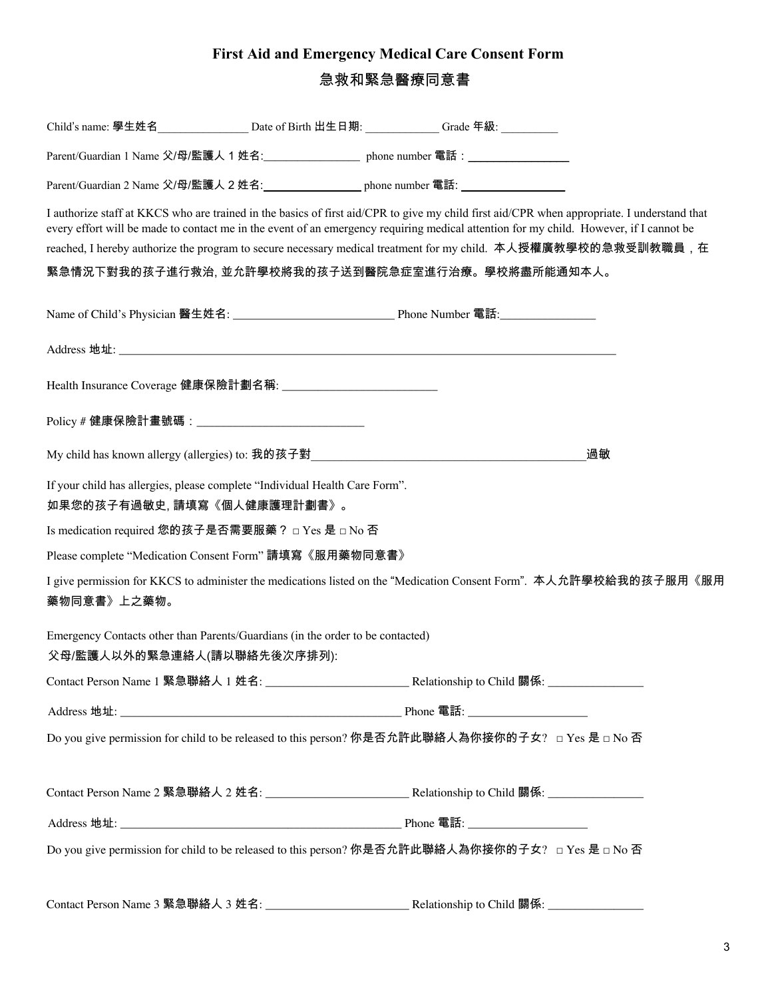# First Aid and Emergency Medical Care Consent Form 急救和緊急醫療同意書

|                                                                                                               | Child's name: 學生姓名___________________ Date of Birth 出生日期: ____________Grade 年級:                                                                                                                                                                                                                                                                                                                                                                               |    |
|---------------------------------------------------------------------------------------------------------------|---------------------------------------------------------------------------------------------------------------------------------------------------------------------------------------------------------------------------------------------------------------------------------------------------------------------------------------------------------------------------------------------------------------------------------------------------------------|----|
|                                                                                                               | Parent/Guardian 1 Name 父/母/監護人 1 姓名:____________________ phone number 電話:________                                                                                                                                                                                                                                                                                                                                                                             |    |
|                                                                                                               | Parent/Guardian 2 Name 父/母/監護人 2 姓名: https://www.phone.number 電話:                                                                                                                                                                                                                                                                                                                                                                                             |    |
|                                                                                                               | I authorize staff at KKCS who are trained in the basics of first aid/CPR to give my child first aid/CPR when appropriate. I understand that<br>every effort will be made to contact me in the event of an emergency requiring medical attention for my child. However, if I cannot be<br>reached, I hereby authorize the program to secure necessary medical treatment for my child. 本人授權廣教學校的急救受訓教職員, 在<br>緊急情況下對我的孩子進行救治, 並允許學校將我的孩子送到醫院急症室進行治療。學校將盡所能通知本人。 |    |
|                                                                                                               |                                                                                                                                                                                                                                                                                                                                                                                                                                                               |    |
|                                                                                                               |                                                                                                                                                                                                                                                                                                                                                                                                                                                               |    |
|                                                                                                               |                                                                                                                                                                                                                                                                                                                                                                                                                                                               |    |
| Policy # 健康保險計畫號碼:_______________________________                                                             |                                                                                                                                                                                                                                                                                                                                                                                                                                                               |    |
|                                                                                                               |                                                                                                                                                                                                                                                                                                                                                                                                                                                               | 過敏 |
| If your child has allergies, please complete "Individual Health Care Form".<br>如果您的孩子有過敏史,請填寫《個人健康護理計劃書》。     |                                                                                                                                                                                                                                                                                                                                                                                                                                                               |    |
| Is medication required 您的孩子是否需要服藥? □ Yes 是 □ No 否                                                             |                                                                                                                                                                                                                                                                                                                                                                                                                                                               |    |
| Please complete "Medication Consent Form" 請填寫《服用藥物同意書》                                                        |                                                                                                                                                                                                                                                                                                                                                                                                                                                               |    |
| 藥物同意書》上之藥物。                                                                                                   | I give permission for KKCS to administer the medications listed on the "Medication Consent Form". 本人允許學校給我的孩子服用《服用                                                                                                                                                                                                                                                                                                                                            |    |
| Emergency Contacts other than Parents/Guardians (in the order to be contacted)<br>父母/監護人以外的緊急連絡人(請以聯絡先後次序排列): |                                                                                                                                                                                                                                                                                                                                                                                                                                                               |    |
|                                                                                                               |                                                                                                                                                                                                                                                                                                                                                                                                                                                               |    |
|                                                                                                               |                                                                                                                                                                                                                                                                                                                                                                                                                                                               |    |
|                                                                                                               | Do you give permission for child to be released to this person? 你是否允許此聯絡人為你接你的子女? □ Yes 是 □ No 否                                                                                                                                                                                                                                                                                                                                                              |    |
|                                                                                                               |                                                                                                                                                                                                                                                                                                                                                                                                                                                               |    |
|                                                                                                               |                                                                                                                                                                                                                                                                                                                                                                                                                                                               |    |
|                                                                                                               | Do you give permission for child to be released to this person? 你是否允許此聯絡人為你接你的子女? □ Yes 是 □ No 否                                                                                                                                                                                                                                                                                                                                                              |    |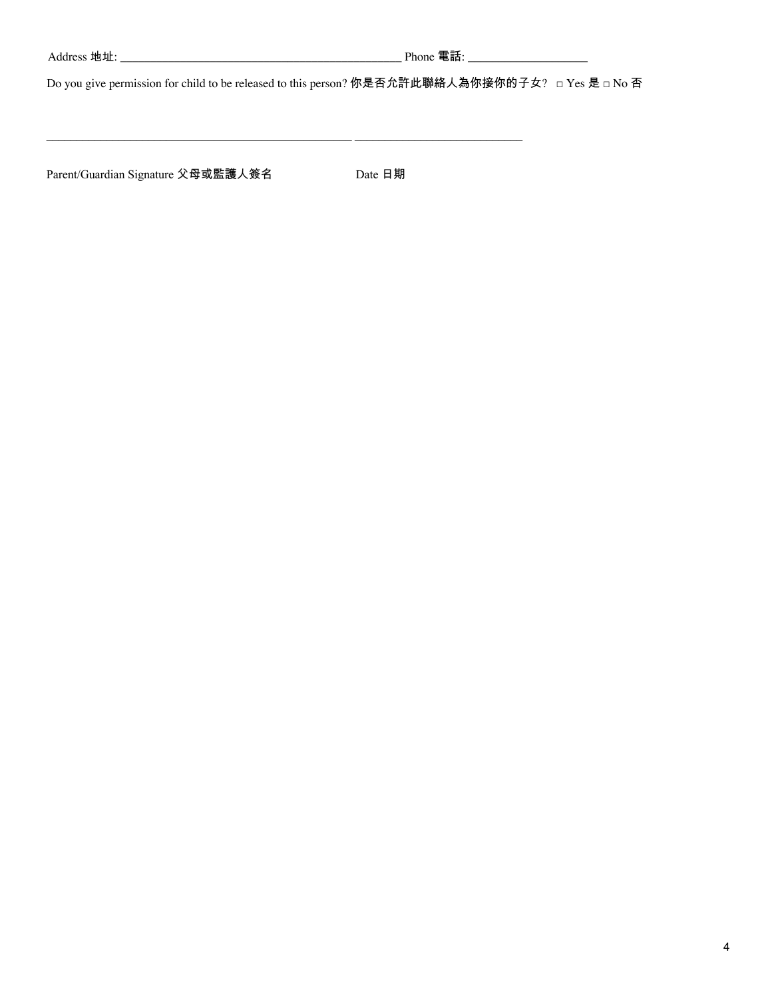Do you give permission for child to be released to this person? 你是否允許此聯絡人為你接你的子女? □ Yes 是 □ No 否

<u> 1989 - Johann Stoff, deutscher Stoff, der Stoff, der Stoff, der Stoff, der Stoff, der Stoff, der Stoff, der S</u>

Parent/Guardian Signature 父母或監護人簽名

Date 日期